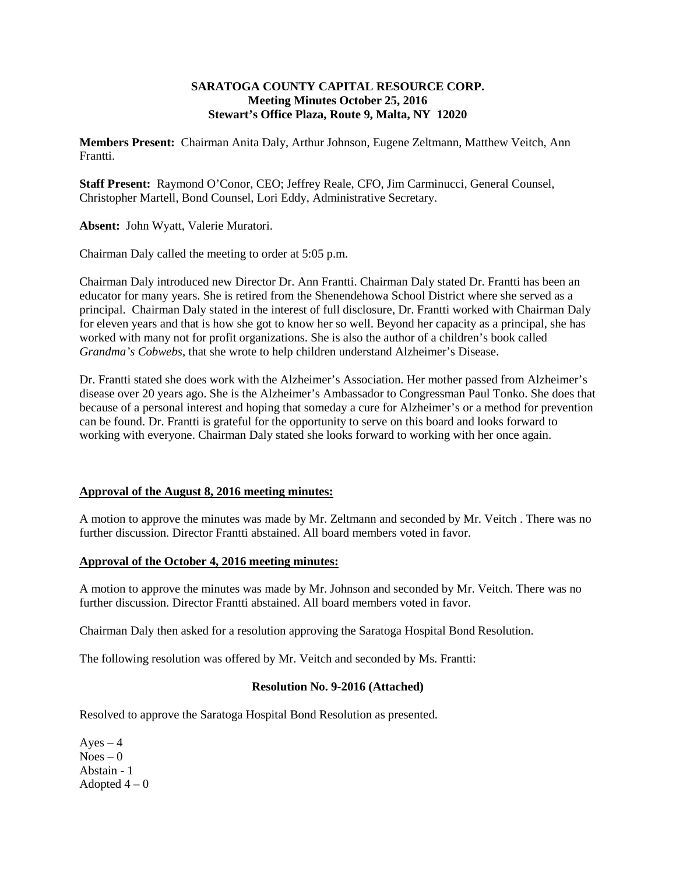# **SARATOGA COUNTY CAPITAL RESOURCE CORP. Meeting Minutes October 25, 2016 Stewart's Office Plaza, Route 9, Malta, NY 12020**

**Members Present:** Chairman Anita Daly, Arthur Johnson, Eugene Zeltmann, Matthew Veitch, Ann Frantti.

**Staff Present:** Raymond O'Conor, CEO; Jeffrey Reale, CFO, Jim Carminucci, General Counsel, Christopher Martell, Bond Counsel, Lori Eddy, Administrative Secretary.

**Absent:** John Wyatt, Valerie Muratori.

Chairman Daly called the meeting to order at 5:05 p.m.

Chairman Daly introduced new Director Dr. Ann Frantti. Chairman Daly stated Dr. Frantti has been an educator for many years. She is retired from the Shenendehowa School District where she served as a principal. Chairman Daly stated in the interest of full disclosure, Dr. Frantti worked with Chairman Daly for eleven years and that is how she got to know her so well. Beyond her capacity as a principal, she has worked with many not for profit organizations. She is also the author of a children's book called *Grandma's Cobwebs*, that she wrote to help children understand Alzheimer's Disease.

Dr. Frantti stated she does work with the Alzheimer's Association. Her mother passed from Alzheimer's disease over 20 years ago. She is the Alzheimer's Ambassador to Congressman Paul Tonko. She does that because of a personal interest and hoping that someday a cure for Alzheimer's or a method for prevention can be found. Dr. Frantti is grateful for the opportunity to serve on this board and looks forward to working with everyone. Chairman Daly stated she looks forward to working with her once again.

# **Approval of the August 8, 2016 meeting minutes:**

A motion to approve the minutes was made by Mr. Zeltmann and seconded by Mr. Veitch . There was no further discussion. Director Frantti abstained. All board members voted in favor.

# **Approval of the October 4, 2016 meeting minutes:**

A motion to approve the minutes was made by Mr. Johnson and seconded by Mr. Veitch. There was no further discussion. Director Frantti abstained. All board members voted in favor.

Chairman Daly then asked for a resolution approving the Saratoga Hospital Bond Resolution.

The following resolution was offered by Mr. Veitch and seconded by Ms. Frantti:

#### **Resolution No. 9-2016 (Attached)**

Resolved to approve the Saratoga Hospital Bond Resolution as presented.

 $Aves - 4$  $Noes - 0$ Abstain - 1 Adopted  $4-0$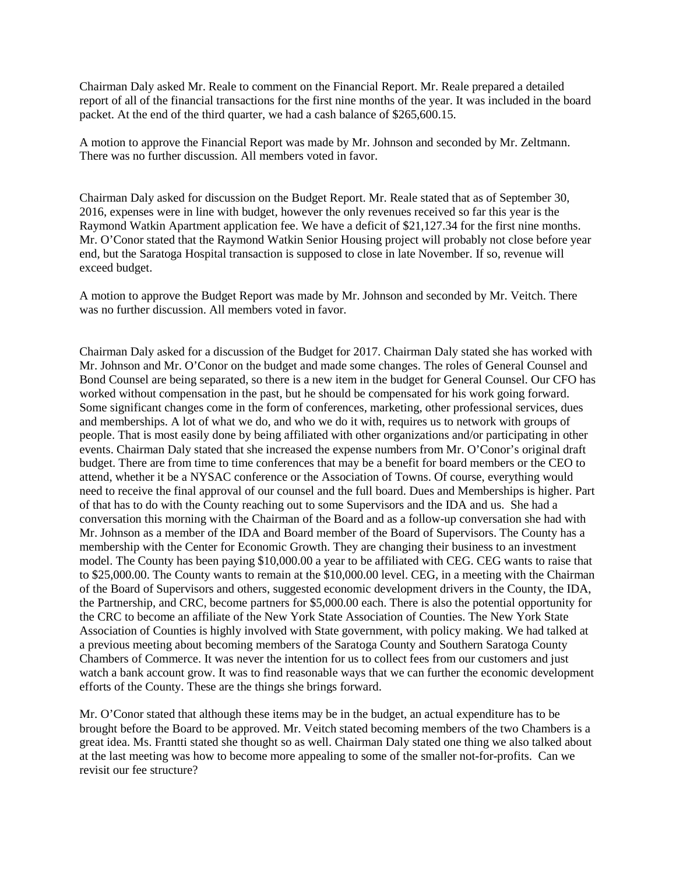Chairman Daly asked Mr. Reale to comment on the Financial Report. Mr. Reale prepared a detailed report of all of the financial transactions for the first nine months of the year. It was included in the board packet. At the end of the third quarter, we had a cash balance of \$265,600.15.

A motion to approve the Financial Report was made by Mr. Johnson and seconded by Mr. Zeltmann. There was no further discussion. All members voted in favor.

Chairman Daly asked for discussion on the Budget Report. Mr. Reale stated that as of September 30, 2016, expenses were in line with budget, however the only revenues received so far this year is the Raymond Watkin Apartment application fee. We have a deficit of \$21,127.34 for the first nine months. Mr. O'Conor stated that the Raymond Watkin Senior Housing project will probably not close before year end, but the Saratoga Hospital transaction is supposed to close in late November. If so, revenue will exceed budget.

A motion to approve the Budget Report was made by Mr. Johnson and seconded by Mr. Veitch. There was no further discussion. All members voted in favor.

Chairman Daly asked for a discussion of the Budget for 2017. Chairman Daly stated she has worked with Mr. Johnson and Mr. O'Conor on the budget and made some changes. The roles of General Counsel and Bond Counsel are being separated, so there is a new item in the budget for General Counsel. Our CFO has worked without compensation in the past, but he should be compensated for his work going forward. Some significant changes come in the form of conferences, marketing, other professional services, dues and memberships. A lot of what we do, and who we do it with, requires us to network with groups of people. That is most easily done by being affiliated with other organizations and/or participating in other events. Chairman Daly stated that she increased the expense numbers from Mr. O'Conor's original draft budget. There are from time to time conferences that may be a benefit for board members or the CEO to attend, whether it be a NYSAC conference or the Association of Towns. Of course, everything would need to receive the final approval of our counsel and the full board. Dues and Memberships is higher. Part of that has to do with the County reaching out to some Supervisors and the IDA and us. She had a conversation this morning with the Chairman of the Board and as a follow-up conversation she had with Mr. Johnson as a member of the IDA and Board member of the Board of Supervisors. The County has a membership with the Center for Economic Growth. They are changing their business to an investment model. The County has been paying \$10,000.00 a year to be affiliated with CEG. CEG wants to raise that to \$25,000.00. The County wants to remain at the \$10,000.00 level. CEG, in a meeting with the Chairman of the Board of Supervisors and others, suggested economic development drivers in the County, the IDA, the Partnership, and CRC, become partners for \$5,000.00 each. There is also the potential opportunity for the CRC to become an affiliate of the New York State Association of Counties. The New York State Association of Counties is highly involved with State government, with policy making. We had talked at a previous meeting about becoming members of the Saratoga County and Southern Saratoga County Chambers of Commerce. It was never the intention for us to collect fees from our customers and just watch a bank account grow. It was to find reasonable ways that we can further the economic development efforts of the County. These are the things she brings forward.

Mr. O'Conor stated that although these items may be in the budget, an actual expenditure has to be brought before the Board to be approved. Mr. Veitch stated becoming members of the two Chambers is a great idea. Ms. Frantti stated she thought so as well. Chairman Daly stated one thing we also talked about at the last meeting was how to become more appealing to some of the smaller not-for-profits. Can we revisit our fee structure?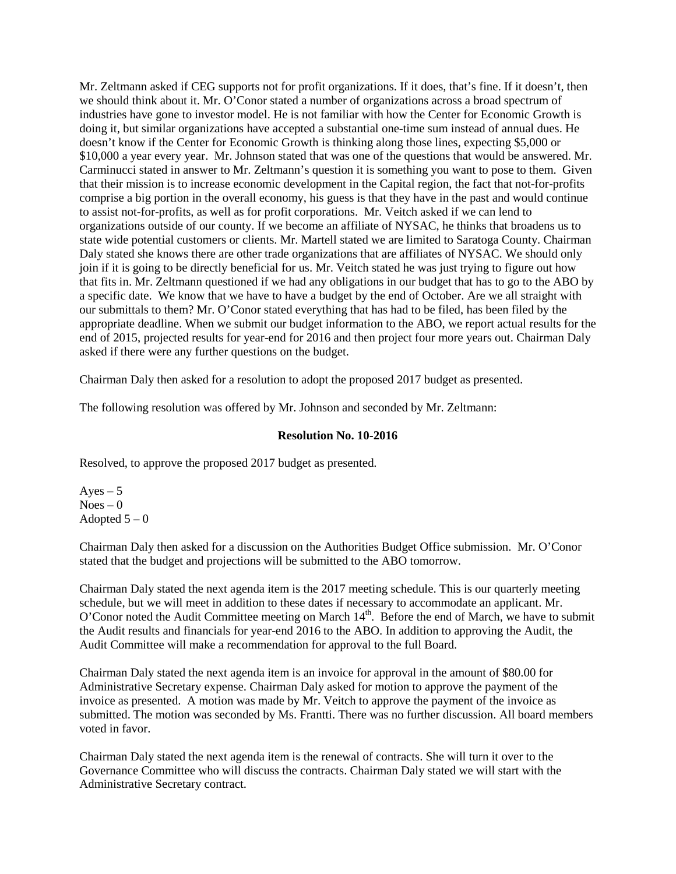Mr. Zeltmann asked if CEG supports not for profit organizations. If it does, that's fine. If it doesn't, then we should think about it. Mr. O'Conor stated a number of organizations across a broad spectrum of industries have gone to investor model. He is not familiar with how the Center for Economic Growth is doing it, but similar organizations have accepted a substantial one-time sum instead of annual dues. He doesn't know if the Center for Economic Growth is thinking along those lines, expecting \$5,000 or \$10,000 a year every year. Mr. Johnson stated that was one of the questions that would be answered. Mr. Carminucci stated in answer to Mr. Zeltmann's question it is something you want to pose to them. Given that their mission is to increase economic development in the Capital region, the fact that not-for-profits comprise a big portion in the overall economy, his guess is that they have in the past and would continue to assist not-for-profits, as well as for profit corporations. Mr. Veitch asked if we can lend to organizations outside of our county. If we become an affiliate of NYSAC, he thinks that broadens us to state wide potential customers or clients. Mr. Martell stated we are limited to Saratoga County. Chairman Daly stated she knows there are other trade organizations that are affiliates of NYSAC. We should only join if it is going to be directly beneficial for us. Mr. Veitch stated he was just trying to figure out how that fits in. Mr. Zeltmann questioned if we had any obligations in our budget that has to go to the ABO by a specific date. We know that we have to have a budget by the end of October. Are we all straight with our submittals to them? Mr. O'Conor stated everything that has had to be filed, has been filed by the appropriate deadline. When we submit our budget information to the ABO, we report actual results for the end of 2015, projected results for year-end for 2016 and then project four more years out. Chairman Daly asked if there were any further questions on the budget.

Chairman Daly then asked for a resolution to adopt the proposed 2017 budget as presented.

The following resolution was offered by Mr. Johnson and seconded by Mr. Zeltmann:

### **Resolution No. 10-2016**

Resolved, to approve the proposed 2017 budget as presented.

Ayes  $-5$  $Noes - 0$ Adopted  $5-0$ 

Chairman Daly then asked for a discussion on the Authorities Budget Office submission. Mr. O'Conor stated that the budget and projections will be submitted to the ABO tomorrow.

Chairman Daly stated the next agenda item is the 2017 meeting schedule. This is our quarterly meeting schedule, but we will meet in addition to these dates if necessary to accommodate an applicant. Mr. O'Conor noted the Audit Committee meeting on March 14<sup>th</sup>. Before the end of March, we have to submit the Audit results and financials for year-end 2016 to the ABO. In addition to approving the Audit, the Audit Committee will make a recommendation for approval to the full Board.

Chairman Daly stated the next agenda item is an invoice for approval in the amount of \$80.00 for Administrative Secretary expense. Chairman Daly asked for motion to approve the payment of the invoice as presented. A motion was made by Mr. Veitch to approve the payment of the invoice as submitted. The motion was seconded by Ms. Frantti. There was no further discussion. All board members voted in favor.

Chairman Daly stated the next agenda item is the renewal of contracts. She will turn it over to the Governance Committee who will discuss the contracts. Chairman Daly stated we will start with the Administrative Secretary contract.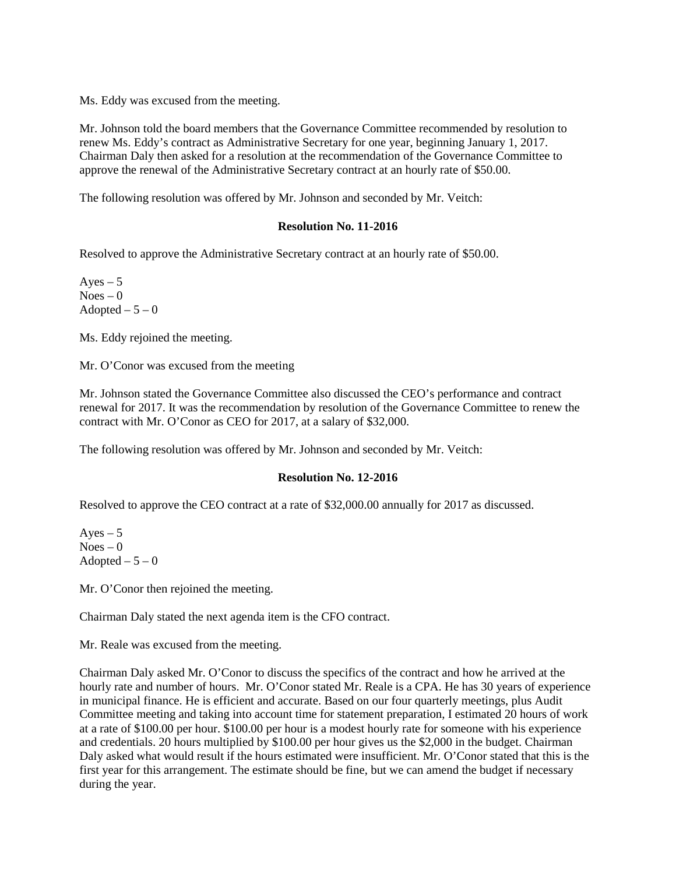Ms. Eddy was excused from the meeting.

Mr. Johnson told the board members that the Governance Committee recommended by resolution to renew Ms. Eddy's contract as Administrative Secretary for one year, beginning January 1, 2017. Chairman Daly then asked for a resolution at the recommendation of the Governance Committee to approve the renewal of the Administrative Secretary contract at an hourly rate of \$50.00.

The following resolution was offered by Mr. Johnson and seconded by Mr. Veitch:

### **Resolution No. 11-2016**

Resolved to approve the Administrative Secretary contract at an hourly rate of \$50.00.

 $Ayes - 5$  $Noes - 0$ Adopted  $-5-0$ 

Ms. Eddy rejoined the meeting.

Mr. O'Conor was excused from the meeting

Mr. Johnson stated the Governance Committee also discussed the CEO's performance and contract renewal for 2017. It was the recommendation by resolution of the Governance Committee to renew the contract with Mr. O'Conor as CEO for 2017, at a salary of \$32,000.

The following resolution was offered by Mr. Johnson and seconded by Mr. Veitch:

#### **Resolution No. 12-2016**

Resolved to approve the CEO contract at a rate of \$32,000.00 annually for 2017 as discussed.

Ayes  $-5$  $Noes - 0$  $Adopted - 5 - 0$ 

Mr. O'Conor then rejoined the meeting.

Chairman Daly stated the next agenda item is the CFO contract.

Mr. Reale was excused from the meeting.

Chairman Daly asked Mr. O'Conor to discuss the specifics of the contract and how he arrived at the hourly rate and number of hours. Mr. O'Conor stated Mr. Reale is a CPA. He has 30 years of experience in municipal finance. He is efficient and accurate. Based on our four quarterly meetings, plus Audit Committee meeting and taking into account time for statement preparation, I estimated 20 hours of work at a rate of \$100.00 per hour. \$100.00 per hour is a modest hourly rate for someone with his experience and credentials. 20 hours multiplied by \$100.00 per hour gives us the \$2,000 in the budget. Chairman Daly asked what would result if the hours estimated were insufficient. Mr. O'Conor stated that this is the first year for this arrangement. The estimate should be fine, but we can amend the budget if necessary during the year.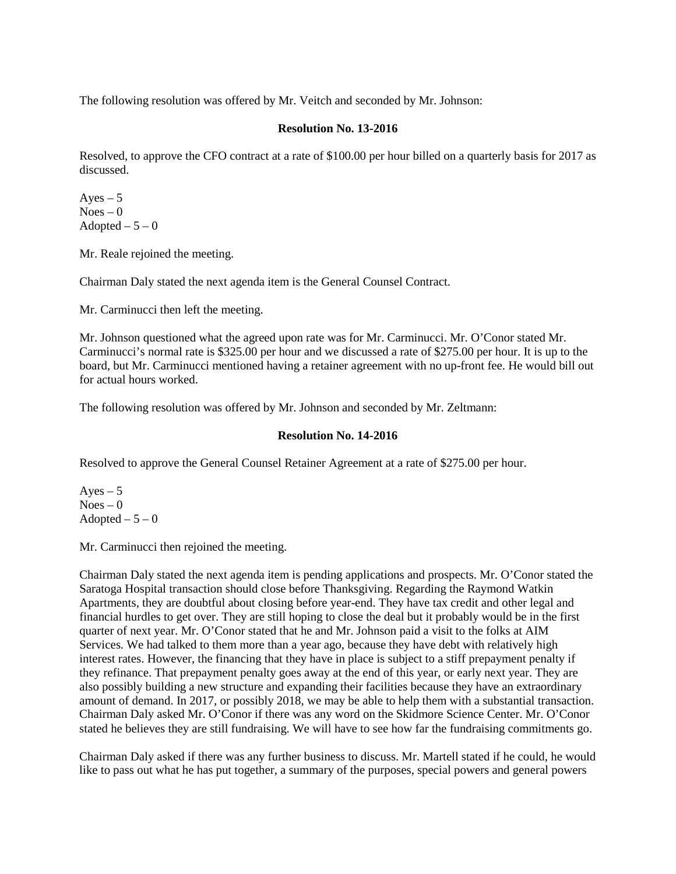The following resolution was offered by Mr. Veitch and seconded by Mr. Johnson:

# **Resolution No. 13-2016**

Resolved, to approve the CFO contract at a rate of \$100.00 per hour billed on a quarterly basis for 2017 as discussed.

Ayes  $-5$  $Noes - 0$ Adopted  $-5-0$ 

Mr. Reale rejoined the meeting.

Chairman Daly stated the next agenda item is the General Counsel Contract.

Mr. Carminucci then left the meeting.

Mr. Johnson questioned what the agreed upon rate was for Mr. Carminucci. Mr. O'Conor stated Mr. Carminucci's normal rate is \$325.00 per hour and we discussed a rate of \$275.00 per hour. It is up to the board, but Mr. Carminucci mentioned having a retainer agreement with no up-front fee. He would bill out for actual hours worked.

The following resolution was offered by Mr. Johnson and seconded by Mr. Zeltmann:

### **Resolution No. 14-2016**

Resolved to approve the General Counsel Retainer Agreement at a rate of \$275.00 per hour.

Ayes  $-5$  $Noes - 0$ Adopted  $-5-0$ 

Mr. Carminucci then rejoined the meeting.

Chairman Daly stated the next agenda item is pending applications and prospects. Mr. O'Conor stated the Saratoga Hospital transaction should close before Thanksgiving. Regarding the Raymond Watkin Apartments, they are doubtful about closing before year-end. They have tax credit and other legal and financial hurdles to get over. They are still hoping to close the deal but it probably would be in the first quarter of next year. Mr. O'Conor stated that he and Mr. Johnson paid a visit to the folks at AIM Services. We had talked to them more than a year ago, because they have debt with relatively high interest rates. However, the financing that they have in place is subject to a stiff prepayment penalty if they refinance. That prepayment penalty goes away at the end of this year, or early next year. They are also possibly building a new structure and expanding their facilities because they have an extraordinary amount of demand. In 2017, or possibly 2018, we may be able to help them with a substantial transaction. Chairman Daly asked Mr. O'Conor if there was any word on the Skidmore Science Center. Mr. O'Conor stated he believes they are still fundraising. We will have to see how far the fundraising commitments go.

Chairman Daly asked if there was any further business to discuss. Mr. Martell stated if he could, he would like to pass out what he has put together, a summary of the purposes, special powers and general powers